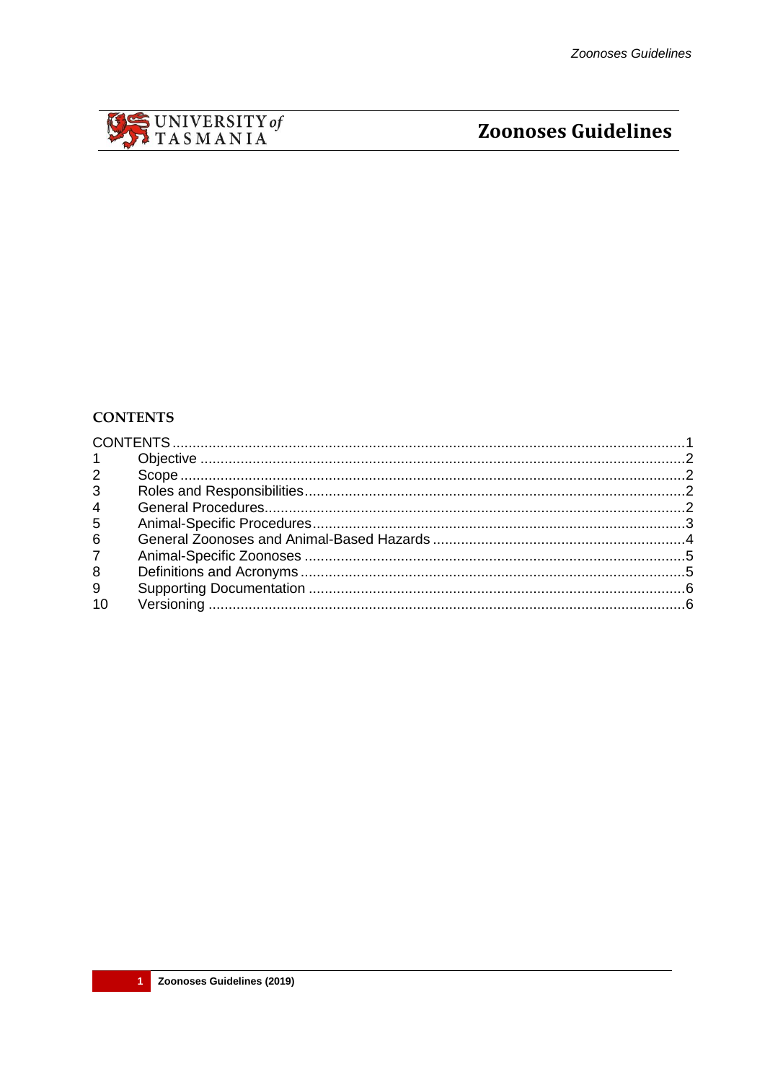<span id="page-0-0"></span>

# **Zoonoses Guidelines**

## **CONTENTS**

| $1 \quad$      |  |
|----------------|--|
| $2^{\circ}$    |  |
| 3 <sup>7</sup> |  |
| $\overline{4}$ |  |
| 5 <sup>5</sup> |  |
| $6\phantom{1}$ |  |
| 7 <sup>7</sup> |  |
| 8              |  |
| 9              |  |
| 10             |  |
|                |  |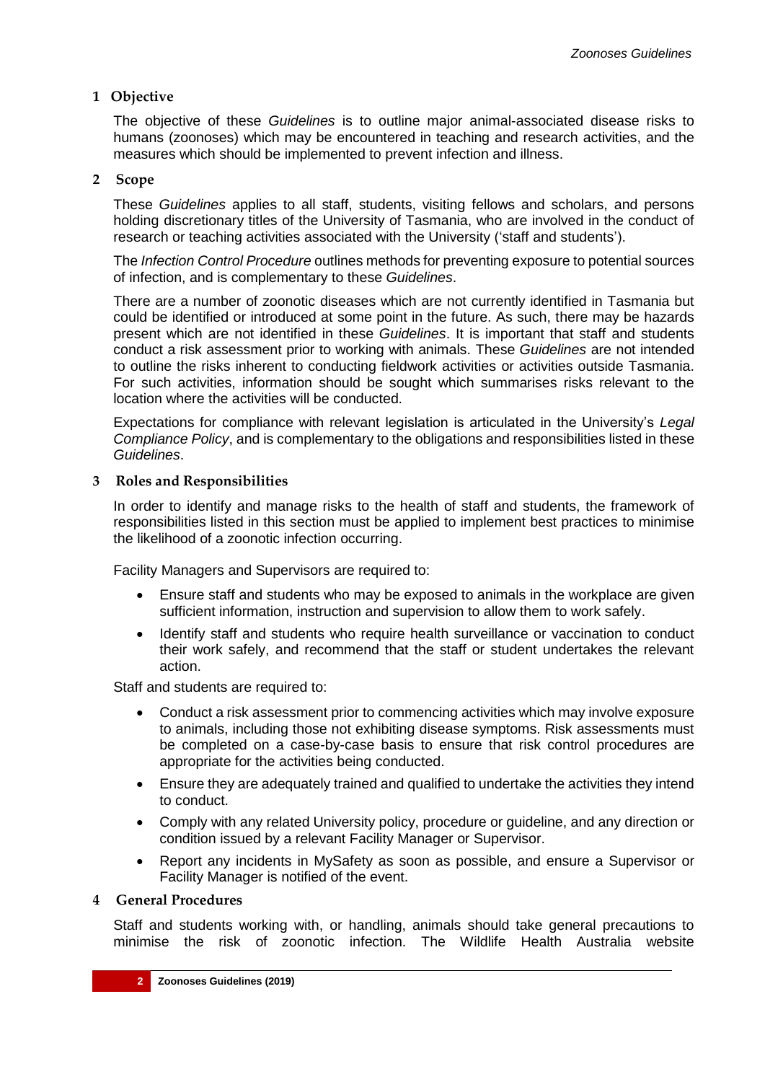## <span id="page-1-0"></span>**1 Objective**

The objective of these *Guidelines* is to outline major animal-associated disease risks to humans (zoonoses) which may be encountered in teaching and research activities, and the measures which should be implemented to prevent infection and illness.

## <span id="page-1-1"></span>**2 Scope**

These *Guidelines* applies to all staff, students, visiting fellows and scholars, and persons holding discretionary titles of the University of Tasmania, who are involved in the conduct of research or teaching activities associated with the University ('staff and students').

The *Infection Control Procedure* outlines methods for preventing exposure to potential sources of infection, and is complementary to these *Guidelines*.

There are a number of zoonotic diseases which are not currently identified in Tasmania but could be identified or introduced at some point in the future. As such, there may be hazards present which are not identified in these *Guidelines*. It is important that staff and students conduct a risk assessment prior to working with animals. These *Guidelines* are not intended to outline the risks inherent to conducting fieldwork activities or activities outside Tasmania. For such activities, information should be sought which summarises risks relevant to the location where the activities will be conducted.

Expectations for compliance with relevant legislation is articulated in the University's *Legal Compliance Policy*, and is complementary to the obligations and responsibilities listed in these *Guidelines*.

# <span id="page-1-2"></span>**3 Roles and Responsibilities**

In order to identify and manage risks to the health of staff and students, the framework of responsibilities listed in this section must be applied to implement best practices to minimise the likelihood of a zoonotic infection occurring.

Facility Managers and Supervisors are required to:

- Ensure staff and students who may be exposed to animals in the workplace are given sufficient information, instruction and supervision to allow them to work safely.
- Identify staff and students who require health surveillance or vaccination to conduct their work safely, and recommend that the staff or student undertakes the relevant action.

Staff and students are required to:

- Conduct a risk assessment prior to commencing activities which may involve exposure to animals, including those not exhibiting disease symptoms. Risk assessments must be completed on a case-by-case basis to ensure that risk control procedures are appropriate for the activities being conducted.
- Ensure they are adequately trained and qualified to undertake the activities they intend to conduct.
- Comply with any related University policy, procedure or guideline, and any direction or condition issued by a relevant Facility Manager or Supervisor.
- Report any incidents in MySafety as soon as possible, and ensure a Supervisor or Facility Manager is notified of the event.

## <span id="page-1-3"></span>**4 General Procedures**

Staff and students working with, or handling, animals should take general precautions to minimise the risk of zoonotic infection. The Wildlife Health Australia website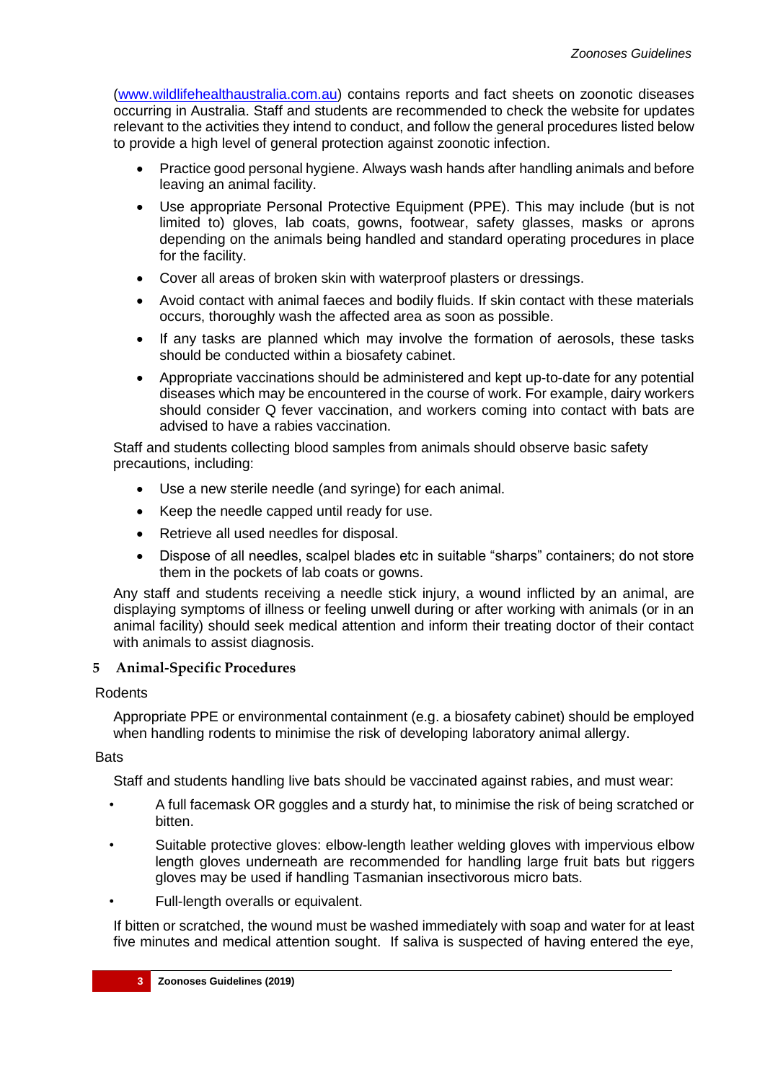[\(www.wildlifehealthaustralia.com.au\)](http://www.wildlifehealthaustralia.com.au/) contains reports and fact sheets on zoonotic diseases occurring in Australia. Staff and students are recommended to check the website for updates relevant to the activities they intend to conduct, and follow the general procedures listed below to provide a high level of general protection against zoonotic infection.

- Practice good personal hygiene. Always wash hands after handling animals and before leaving an animal facility.
- Use appropriate Personal Protective Equipment (PPE). This may include (but is not limited to) gloves, lab coats, gowns, footwear, safety glasses, masks or aprons depending on the animals being handled and standard operating procedures in place for the facility.
- Cover all areas of broken skin with waterproof plasters or dressings.
- Avoid contact with animal faeces and bodily fluids. If skin contact with these materials occurs, thoroughly wash the affected area as soon as possible.
- If any tasks are planned which may involve the formation of aerosols, these tasks should be conducted within a biosafety cabinet.
- Appropriate vaccinations should be administered and kept up-to-date for any potential diseases which may be encountered in the course of work. For example, dairy workers should consider Q fever vaccination, and workers coming into contact with bats are advised to have a rabies vaccination.

Staff and students collecting blood samples from animals should observe basic safety precautions, including:

- Use a new sterile needle (and syringe) for each animal.
- Keep the needle capped until ready for use.
- Retrieve all used needles for disposal.
- Dispose of all needles, scalpel blades etc in suitable "sharps" containers; do not store them in the pockets of lab coats or gowns.

Any staff and students receiving a needle stick injury, a wound inflicted by an animal, are displaying symptoms of illness or feeling unwell during or after working with animals (or in an animal facility) should seek medical attention and inform their treating doctor of their contact with animals to assist diagnosis.

## <span id="page-2-0"></span>**5 Animal-Specific Procedures**

## Rodents

Appropriate PPE or environmental containment (e.g. a biosafety cabinet) should be employed when handling rodents to minimise the risk of developing laboratory animal allergy.

## **Bats**

Staff and students handling live bats should be vaccinated against rabies, and must wear:

- A full facemask OR goggles and a sturdy hat, to minimise the risk of being scratched or bitten.
- Suitable protective gloves: elbow-length leather welding gloves with impervious elbow length gloves underneath are recommended for handling large fruit bats but riggers gloves may be used if handling Tasmanian insectivorous micro bats.
- Full-length overalls or equivalent.

If bitten or scratched, the wound must be washed immediately with soap and water for at least five minutes and medical attention sought. If saliva is suspected of having entered the eye,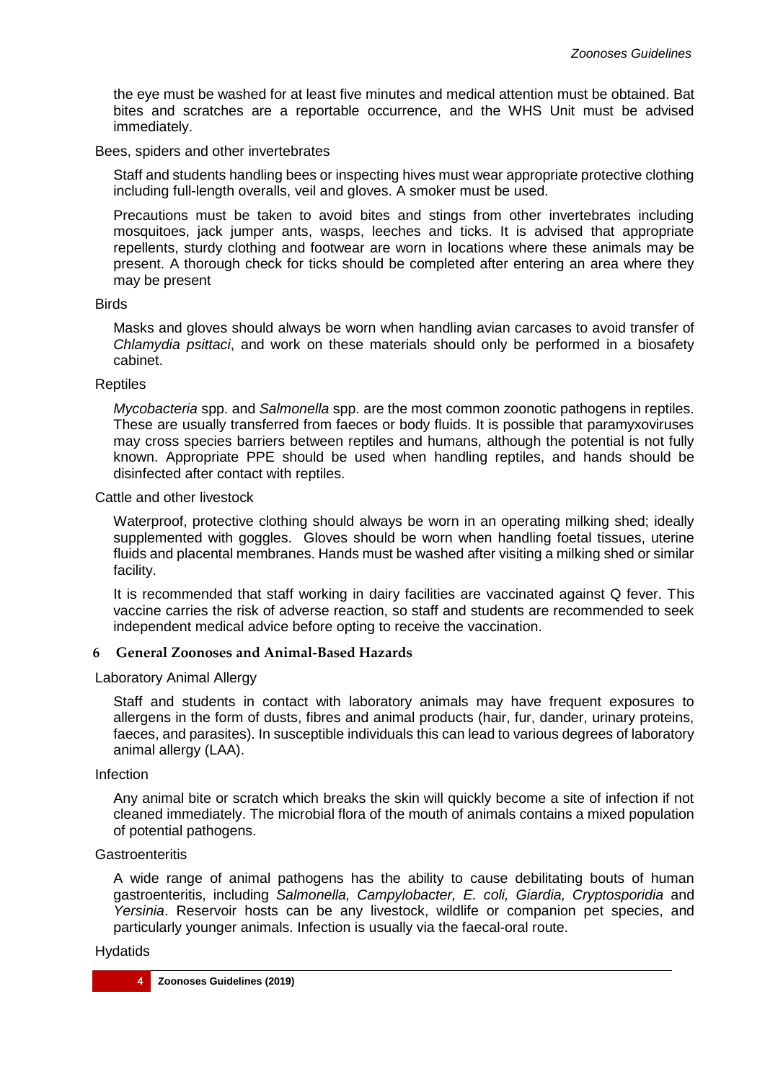the eye must be washed for at least five minutes and medical attention must be obtained. Bat bites and scratches are a reportable occurrence, and the WHS Unit must be advised immediately.

## Bees, spiders and other invertebrates

Staff and students handling bees or inspecting hives must wear appropriate protective clothing including full-length overalls, veil and gloves. A smoker must be used.

Precautions must be taken to avoid bites and stings from other invertebrates including mosquitoes, jack jumper ants, wasps, leeches and ticks. It is advised that appropriate repellents, sturdy clothing and footwear are worn in locations where these animals may be present. A thorough check for ticks should be completed after entering an area where they may be present

## **Birds**

Masks and gloves should always be worn when handling avian carcases to avoid transfer of *Chlamydia psittaci*, and work on these materials should only be performed in a biosafety cabinet.

## Reptiles

*Mycobacteria* spp. and *Salmonella* spp. are the most common zoonotic pathogens in reptiles. These are usually transferred from faeces or body fluids. It is possible that paramyxoviruses may cross species barriers between reptiles and humans, although the potential is not fully known. Appropriate PPE should be used when handling reptiles, and hands should be disinfected after contact with reptiles.

#### Cattle and other livestock

Waterproof, protective clothing should always be worn in an operating milking shed; ideally supplemented with goggles. Gloves should be worn when handling foetal tissues, uterine fluids and placental membranes. Hands must be washed after visiting a milking shed or similar facility.

It is recommended that staff working in dairy facilities are vaccinated against Q fever. This vaccine carries the risk of adverse reaction, so staff and students are recommended to seek independent medical advice before opting to receive the vaccination.

## <span id="page-3-0"></span>**6 General Zoonoses and Animal-Based Hazards**

## Laboratory Animal Allergy

Staff and students in contact with laboratory animals may have frequent exposures to allergens in the form of dusts, fibres and animal products (hair, fur, dander, urinary proteins, faeces, and parasites). In susceptible individuals this can lead to various degrees of laboratory animal allergy (LAA).

## Infection

Any animal bite or scratch which breaks the skin will quickly become a site of infection if not cleaned immediately. The microbial flora of the mouth of animals contains a mixed population of potential pathogens.

## **Gastroenteritis**

A wide range of animal pathogens has the ability to cause debilitating bouts of human gastroenteritis, including *Salmonella, Campylobacter, E. coli, Giardia, Cryptosporidia* and *Yersinia*. Reservoir hosts can be any livestock, wildlife or companion pet species, and particularly younger animals. Infection is usually via the faecal-oral route.

## Hydatids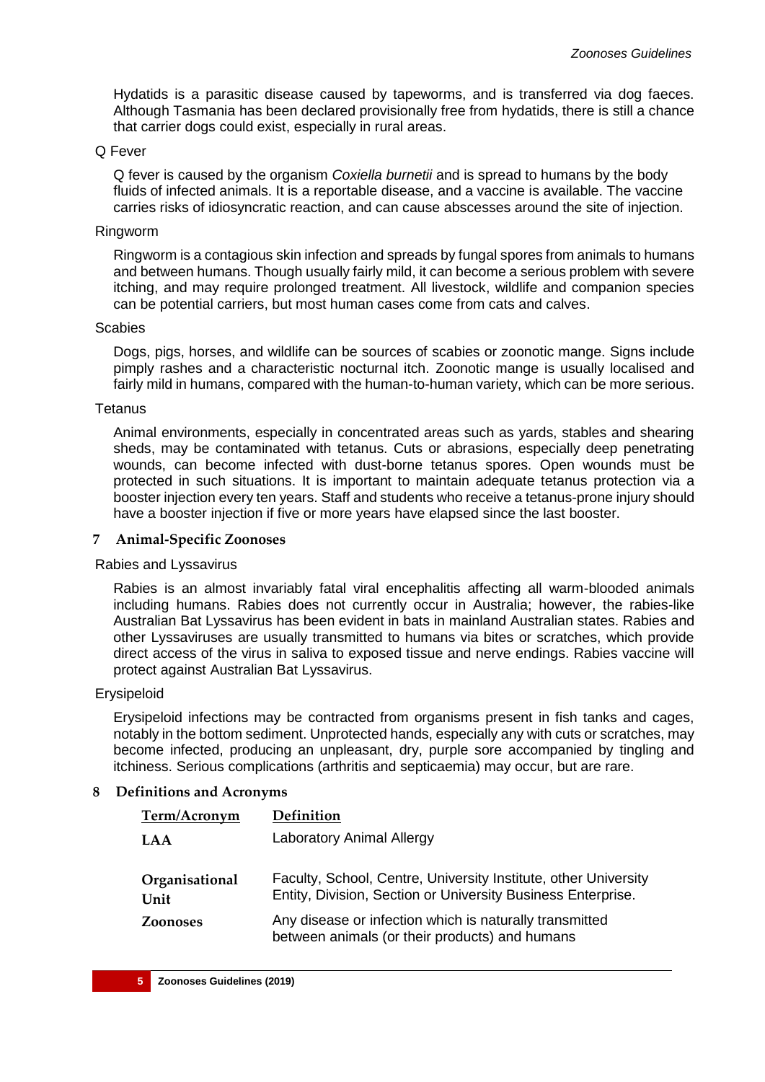Hydatids is a parasitic disease caused by tapeworms, and is transferred via dog faeces. Although Tasmania has been declared provisionally free from hydatids, there is still a chance that carrier dogs could exist, especially in rural areas.

## Q Fever

Q fever is caused by the organism *Coxiella burnetii* and is spread to humans by the body fluids of infected animals. It is a reportable disease, and a vaccine is available. The vaccine carries risks of idiosyncratic reaction, and can cause abscesses around the site of injection.

#### Ringworm

Ringworm is a contagious skin infection and spreads by fungal spores from animals to humans and between humans. Though usually fairly mild, it can become a serious problem with severe itching, and may require prolonged treatment. All livestock, wildlife and companion species can be potential carriers, but most human cases come from cats and calves.

#### **Scabies**

Dogs, pigs, horses, and wildlife can be sources of scabies or zoonotic mange. Signs include pimply rashes and a characteristic nocturnal itch. Zoonotic mange is usually localised and fairly mild in humans, compared with the human-to-human variety, which can be more serious.

#### **Tetanus**

Animal environments, especially in concentrated areas such as yards, stables and shearing sheds, may be contaminated with tetanus. Cuts or abrasions, especially deep penetrating wounds, can become infected with dust-borne tetanus spores. Open wounds must be protected in such situations. It is important to maintain adequate tetanus protection via a booster injection every ten years. Staff and students who receive a tetanus-prone injury should have a booster injection if five or more years have elapsed since the last booster.

#### <span id="page-4-0"></span>**7 Animal-Specific Zoonoses**

#### Rabies and Lyssavirus

Rabies is an almost invariably fatal viral encephalitis affecting all warm-blooded animals including humans. Rabies does not currently occur in Australia; however, the rabies-like Australian Bat Lyssavirus has been evident in bats in mainland Australian states. Rabies and other Lyssaviruses are usually transmitted to humans via bites or scratches, which provide direct access of the virus in saliva to exposed tissue and nerve endings. Rabies vaccine will protect against Australian Bat Lyssavirus.

#### Erysipeloid

Erysipeloid infections may be contracted from organisms present in fish tanks and cages, notably in the bottom sediment. Unprotected hands, especially any with cuts or scratches, may become infected, producing an unpleasant, dry, purple sore accompanied by tingling and itchiness. Serious complications (arthritis and septicaemia) may occur, but are rare.

## <span id="page-4-1"></span>**8 Definitions and Acronyms**

| Term/Acronym           | Definition                                                                                                                      |
|------------------------|---------------------------------------------------------------------------------------------------------------------------------|
| <b>LAA</b>             | <b>Laboratory Animal Allergy</b>                                                                                                |
| Organisational<br>Unit | Faculty, School, Centre, University Institute, other University<br>Entity, Division, Section or University Business Enterprise. |
| <b>Zoonoses</b>        | Any disease or infection which is naturally transmitted<br>between animals (or their products) and humans                       |